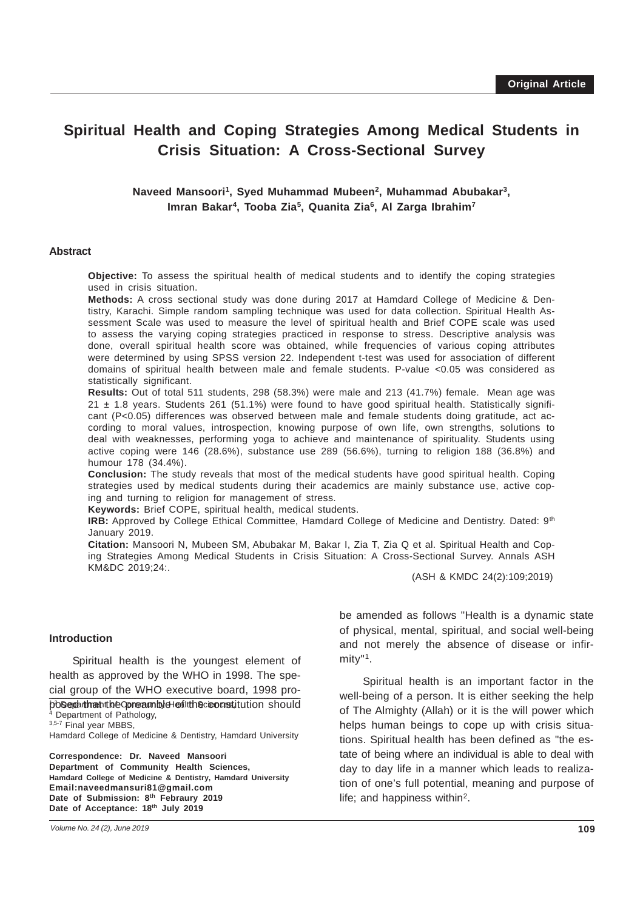# **Spiritual Health and Coping Strategies Among Medical Students in Crisis Situation: A Cross-Sectional Survey**

**Naveed Mansoori1, Syed Muhammad Mubeen2, Muhammad Abubakar3, Imran Bakar4, Tooba Zia5, Quanita Zia6, Al Zarga Ibrahim7**

#### **Abstract**

**Objective:** To assess the spiritual health of medical students and to identify the coping strategies used in crisis situation.

**Methods:** A cross sectional study was done during 2017 at Hamdard College of Medicine & Dentistry, Karachi. Simple random sampling technique was used for data collection. Spiritual Health Assessment Scale was used to measure the level of spiritual health and Brief COPE scale was used to assess the varying coping strategies practiced in response to stress. Descriptive analysis was done, overall spiritual health score was obtained, while frequencies of various coping attributes were determined by using SPSS version 22. Independent t-test was used for association of different domains of spiritual health between male and female students. P-value <0.05 was considered as statistically significant.

**Results:** Out of total 511 students, 298 (58.3%) were male and 213 (41.7%) female. Mean age was 21 ± 1.8 years. Students 261 (51.1%) were found to have good spiritual health. Statistically significant (P<0.05) differences was observed between male and female students doing gratitude, act according to moral values, introspection, knowing purpose of own life, own strengths, solutions to deal with weaknesses, performing yoga to achieve and maintenance of spirituality. Students using active coping were 146 (28.6%), substance use 289 (56.6%), turning to religion 188 (36.8%) and humour 178 (34.4%).

**Conclusion:** The study reveals that most of the medical students have good spiritual health. Coping strategies used by medical students during their academics are mainly substance use, active coping and turning to religion for management of stress.

**Keywords:** Brief COPE, spiritual health, medical students.

**IRB:** Approved by College Ethical Committee, Hamdard College of Medicine and Dentistry. Dated: 9<sup>th</sup> January 2019.

**Citation:** Mansoori N, Mubeen SM, Abubakar M, Bakar I, Zia T, Zia Q et al. Spiritual Health and Coping Strategies Among Medical Students in Crisis Situation: A Cross-Sectional Survey. Annals ASH KM&DC 2019;24:.

(ASH & KMDC 24(2):109;2019)

#### **Introduction**

 $\frac{1}{2}$  and  $\frac{1}{2}$  and  $\frac{1}{2}$  are  $\frac{1}{2}$  and  $\frac{1}{2}$  are  $\frac{1}{2}$  and  $\frac{1}{2}$  and  $\frac{1}{2}$  are  $\frac{1}{2}$  and  $\frac{1}{2}$  and  $\frac{1}{2}$  and  $\frac{1}{2}$  and  $\frac{1}{2}$  and  $\frac{1}{2}$  and  $\frac{1}{2}$  and  $\frac{1}{2}$  a Spiritual health is the youngest element of health as approved by the WHO in 1998. The special group of the WHO executive board, 1998 pro-

posed that the Community Health Sciences, it ution should 4 Department of Pathology,

3,5-7 Final year MBBS,

Hamdard College of Medicine & Dentistry, Hamdard University

**Correspondence: Dr. Naveed Mansoori Department of Community Health Sciences, Hamdard College of Medicine & Dentistry, Hamdard University Email:naveedmansuri81@gmail.com Date of Submission: 8th Febraury 2019 Date of Acceptance: 18th July 2019**

be amended as follows "Health is a dynamic state of physical, mental, spiritual, and social well-being and not merely the absence of disease or infirmity"1.

Spiritual health is an important factor in the well-being of a person. It is either seeking the help of The Almighty (Allah) or it is the will power which helps human beings to cope up with crisis situations. Spiritual health has been defined as "the estate of being where an individual is able to deal with day to day life in a manner which leads to realization of one's full potential, meaning and purpose of life; and happiness within2.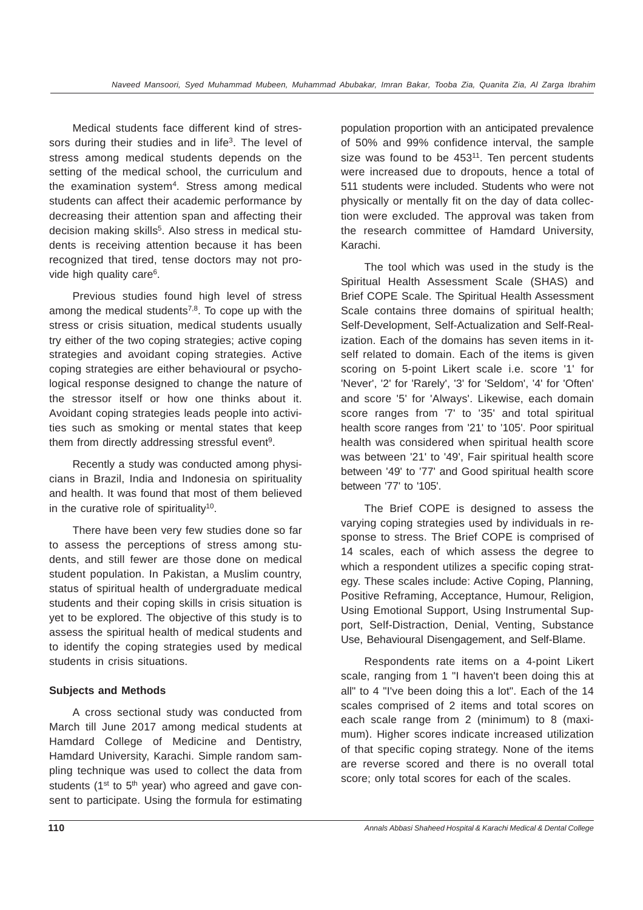Medical students face different kind of stressors during their studies and in life<sup>3</sup>. The level of stress among medical students depends on the setting of the medical school, the curriculum and the examination system<sup>4</sup>. Stress among medical students can affect their academic performance by decreasing their attention span and affecting their decision making skills<sup>5</sup>. Also stress in medical students is receiving attention because it has been recognized that tired, tense doctors may not provide high quality care<sup>6</sup>.

Previous studies found high level of stress among the medical students<sup> $7,8$ </sup>. To cope up with the stress or crisis situation, medical students usually try either of the two coping strategies; active coping strategies and avoidant coping strategies. Active coping strategies are either behavioural or psychological response designed to change the nature of the stressor itself or how one thinks about it. Avoidant coping strategies leads people into activities such as smoking or mental states that keep them from directly addressing stressful event<sup>9</sup>.

Recently a study was conducted among physicians in Brazil, India and Indonesia on spirituality and health. It was found that most of them believed in the curative role of spirituality<sup>10</sup>.

There have been very few studies done so far to assess the perceptions of stress among students, and still fewer are those done on medical student population. In Pakistan, a Muslim country, status of spiritual health of undergraduate medical students and their coping skills in crisis situation is yet to be explored. The objective of this study is to assess the spiritual health of medical students and to identify the coping strategies used by medical students in crisis situations.

# **Subjects and Methods**

A cross sectional study was conducted from March till June 2017 among medical students at Hamdard College of Medicine and Dentistry, Hamdard University, Karachi. Simple random sampling technique was used to collect the data from students ( $1<sup>st</sup>$  to  $5<sup>th</sup>$  year) who agreed and gave consent to participate. Using the formula for estimating

population proportion with an anticipated prevalence of 50% and 99% confidence interval, the sample size was found to be  $453^{11}$ . Ten percent students were increased due to dropouts, hence a total of 511 students were included. Students who were not physically or mentally fit on the day of data collection were excluded. The approval was taken from the research committee of Hamdard University, Karachi.

The tool which was used in the study is the Spiritual Health Assessment Scale (SHAS) and Brief COPE Scale. The Spiritual Health Assessment Scale contains three domains of spiritual health: Self-Development, Self-Actualization and Self-Realization. Each of the domains has seven items in itself related to domain. Each of the items is given scoring on 5-point Likert scale i.e. score '1' for 'Never', '2' for 'Rarely', '3' for 'Seldom', '4' for 'Often' and score '5' for 'Always'. Likewise, each domain score ranges from '7' to '35' and total spiritual health score ranges from '21' to '105'. Poor spiritual health was considered when spiritual health score was between '21' to '49', Fair spiritual health score between '49' to '77' and Good spiritual health score between '77' to '105'.

The Brief COPE is designed to assess the varying coping strategies used by individuals in response to stress. The Brief COPE is comprised of 14 scales, each of which assess the degree to which a respondent utilizes a specific coping strategy. These scales include: Active Coping, Planning, Positive Reframing, Acceptance, Humour, Religion, Using Emotional Support, Using Instrumental Support, Self-Distraction, Denial, Venting, Substance Use, Behavioural Disengagement, and Self-Blame.

Respondents rate items on a 4-point Likert scale, ranging from 1 "I haven't been doing this at all" to 4 "I've been doing this a lot". Each of the 14 scales comprised of 2 items and total scores on each scale range from 2 (minimum) to 8 (maximum). Higher scores indicate increased utilization of that specific coping strategy. None of the items are reverse scored and there is no overall total score; only total scores for each of the scales.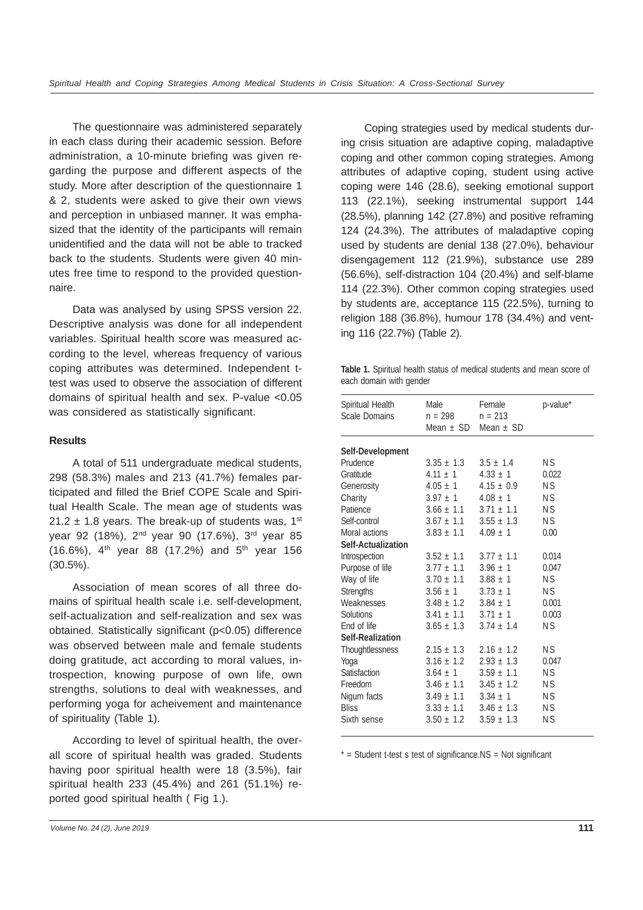The questionnaire was administered separately in each class during their academic session. Before administration, a 10-minute briefing was given regarding the purpose and different aspects of the study. More after description of the questionnaire 1 & 2, students were asked to give their own views and perception in unbiased manner. It was emphasized that the identity of the participants will remain unidentified and the data will not be able to tracked back to the students. Students were given 40 minutes free time to respond to the provided questionnaire.

Data was analysed by using SPSS version 22. Descriptive analysis was done for all independent variables. Spiritual health score was measured according to the level, whereas frequency of various coping attributes was determined. Independent ttest was used to observe the association of different domains of spiritual health and sex. P-value <0.05 was considered as statistically significant.

# **Results**

A total of 511 undergraduate medical students, 298 (58.3%) males and 213 (41.7%) females participated and filled the Brief COPE Scale and Spiritual Health Scale. The mean age of students was 21.2  $\pm$  1.8 years. The break-up of students was, 1<sup>st</sup> year 92 (18%), 2<sup>nd</sup> year 90 (17.6%), 3<sup>rd</sup> year 85 (16.6%),  $4^{th}$  year 88 (17.2%) and  $5^{th}$  year 156 (30.5%).

Association of mean scores of all three domains of spiritual health scale i.e. self-development, self-actualization and self-realization and sex was obtained. Statistically significant (p<0.05) difference was observed between male and female students doing gratitude, act according to moral values, introspection, knowing purpose of own life, own strengths, solutions to deal with weaknesses, and performing yoga for acheivement and maintenance of spirituality (Table 1).

According to level of spiritual health, the overall score of spiritual health was graded. Students having poor spiritual health were 18 (3.5%), fair spiritual health 233 (45.4%) and 261 (51.1%) reported good spiritual health ( Fig 1.).

Coping strategies used by medical students during crisis situation are adaptive coping, maladaptive coping and other common coping strategies. Among attributes of adaptive coping, student using active coping were 146 (28.6), seeking emotional support 113 (22.1%), seeking instrumental support 144 (28.5%), planning 142 (27.8%) and positive reframing 124 (24.3%). The attributes of maladaptive coping used by students are denial 138 (27.0%), behaviour disengagement 112 (21.9%), substance use 289 (56.6%), self-distraction 104 (20.4%) and self-blame 114 (22.3%). Other common coping strategies used by students are, acceptance 115 (22.5%), turning to religion 188 (36.8%), humour 178 (34.4%) and venting 116 (22.7%) (Table 2).

**Table 1.** Spiritual health status of medical students and mean score of each domain with gender

| Spiritual Health<br><b>Scale Domains</b> | Male<br>n = 298<br>Mean $\pm$ SD Mean $\pm$ SD | Female<br>$n = 213$ | p-value*  |
|------------------------------------------|------------------------------------------------|---------------------|-----------|
|                                          |                                                |                     |           |
| Self-Development<br>Prudence             | $3.35 \pm 1.3$ $3.5 \pm 1.4$                   |                     | N S       |
| Gratitude                                | $4.11 \pm 1$                                   | $4.33 \pm 1$        | 0.022     |
|                                          | $4.05 \pm 1$                                   | $4.15 \pm 0.9$      | <b>NS</b> |
| Generosity                               | $3.97 \pm 1$                                   | $4.08 \pm 1$        | <b>NS</b> |
| Charity<br>Patience                      |                                                |                     |           |
|                                          | $3.66 \pm 1.1$ $3.71 \pm 1.1$                  |                     | <b>NS</b> |
| Self-control                             | $3.67 \pm 1.1$                                 | $3.55 \pm 1.3$      | ΝS        |
| Moral actions                            | $3.83 \pm 1.1$                                 | $4.09 \pm 1$        | 0.00      |
| Self-Actualization                       |                                                |                     |           |
| Introspection                            | $3.52 \pm 1.1$                                 | $3.77 \pm 1.1$      | 0.014     |
| Purpose of life                          | $3.77 \pm 1.1$                                 | $3.96 \pm 1$        | 0.047     |
| Way of life                              | $3.70 \pm 1.1$                                 | $3.88 \pm 1$        | ΝS        |
| <b>Strengths</b>                         | $3.56 \pm 1$                                   | $3.73 \pm 1$        | <b>NS</b> |
| Weaknesses                               | $3.48 \pm 1.2$                                 | $3.84 \pm 1$        | 0.001     |
| Solutions                                | $3.41 \pm 1.1$                                 | $3.71 \pm 1$        | 0.003     |
| End of life                              | $3.65 \pm 1.3$                                 | $3.74 \pm 1.4$      | <b>NS</b> |
| Self-Realization                         |                                                |                     |           |
| Thoughtlessness                          | $2.15 \pm 1.3$                                 | $2.16 \pm 1.2$      | <b>NS</b> |
| Yoga                                     | $3.16 \pm 1.2$                                 | $2.93 \pm 1.3$      | 0.047     |
| Satisfaction                             | $3.64 \pm 1$                                   | $3.59 \pm 1.1$      | ΝS        |
| Freedom                                  | $3.46 \pm 1.1$                                 | $3.45 \pm 1.2$      | N S       |
| Nigum facts                              | $3.49 \pm 1.1$                                 | $3.34 \pm 1$        | <b>NS</b> |
| <b>Bliss</b>                             | $3.33 \pm 1.1$                                 | $3.46 \pm 1.3$      | ΝS        |
| Sixth sense                              | $3.50 \pm 1.2$                                 | $3.59 \pm 1.3$      | <b>NS</b> |
|                                          |                                                |                     |           |

 $*$  = Student t-test s test of significance.NS = Not significant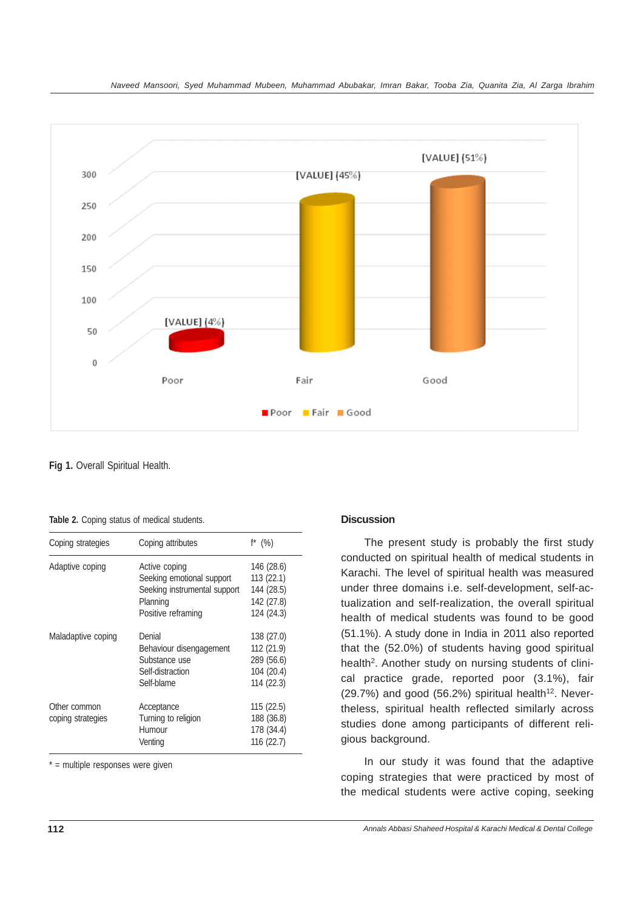

**Fig 1.** Overall Spiritual Health.

| Table 2. Coping status of medical students. |
|---------------------------------------------|
|---------------------------------------------|

| Coping attributes            | $f^*$ (%)  |
|------------------------------|------------|
|                              |            |
| Active coping                | 146 (28.6) |
| Seeking emotional support    | 113(22.1)  |
| Seeking instrumental support | 144 (28.5) |
| Planning                     | 142 (27.8) |
| Positive reframing           | 124 (24.3) |
| Denial                       | 138 (27.0) |
| Behaviour disengagement      | 112(21.9)  |
| Substance use                | 289 (56.6) |
| Self-distraction             | 104 (20.4) |
| Self-blame                   | 114(22.3)  |
| Acceptance                   | 115(22.5)  |
| Turning to religion          | 188 (36.8) |
| Humour                       | 178 (34.4) |
| Venting                      | 116(22.7)  |
|                              |            |

 $* =$  multiple responses were given

## **Discussion**

The present study is probably the first study conducted on spiritual health of medical students in Karachi. The level of spiritual health was measured under three domains i.e. self-development, self-actualization and self-realization, the overall spiritual health of medical students was found to be good (51.1%). A study done in India in 2011 also reported that the (52.0%) of students having good spiritual health<sup>2</sup>. Another study on nursing students of clinical practice grade, reported poor (3.1%), fair  $(29.7%)$  and good  $(56.2%)$  spiritual health<sup>12</sup>. Nevertheless, spiritual health reflected similarly across studies done among participants of different religious background.

In our study it was found that the adaptive coping strategies that were practiced by most of the medical students were active coping, seeking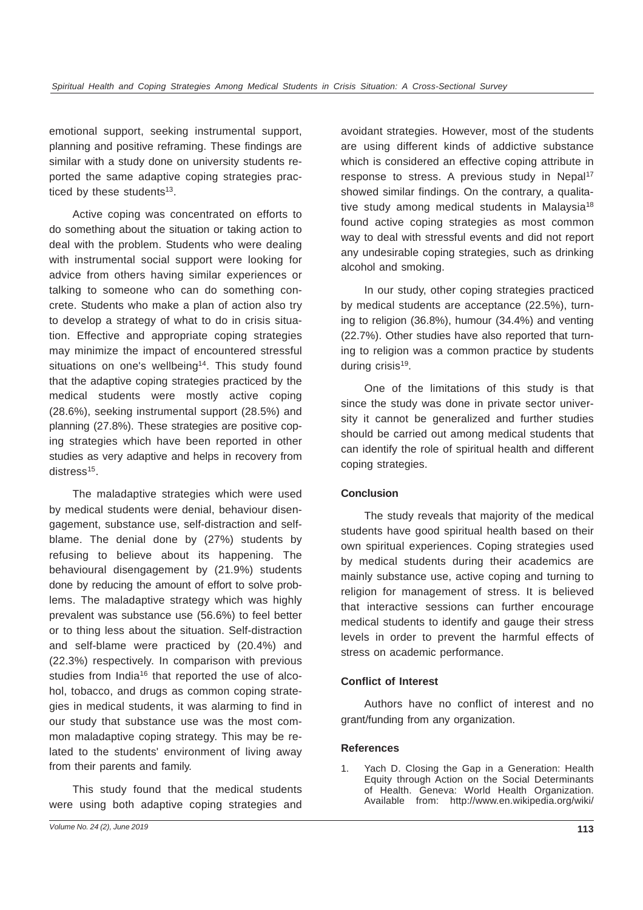emotional support, seeking instrumental support, planning and positive reframing. These findings are similar with a study done on university students reported the same adaptive coping strategies practiced by these students $13$ .

Active coping was concentrated on efforts to do something about the situation or taking action to deal with the problem. Students who were dealing with instrumental social support were looking for advice from others having similar experiences or talking to someone who can do something concrete. Students who make a plan of action also try to develop a strategy of what to do in crisis situation. Effective and appropriate coping strategies may minimize the impact of encountered stressful situations on one's wellbeing<sup>14</sup>. This study found that the adaptive coping strategies practiced by the medical students were mostly active coping (28.6%), seeking instrumental support (28.5%) and planning (27.8%). These strategies are positive coping strategies which have been reported in other studies as very adaptive and helps in recovery from distress<sup>15</sup>.

The maladaptive strategies which were used by medical students were denial, behaviour disengagement, substance use, self-distraction and selfblame. The denial done by (27%) students by refusing to believe about its happening. The behavioural disengagement by (21.9%) students done by reducing the amount of effort to solve problems. The maladaptive strategy which was highly prevalent was substance use (56.6%) to feel better or to thing less about the situation. Self-distraction and self-blame were practiced by (20.4%) and (22.3%) respectively. In comparison with previous studies from India<sup>16</sup> that reported the use of alcohol, tobacco, and drugs as common coping strategies in medical students, it was alarming to find in our study that substance use was the most common maladaptive coping strategy. This may be related to the students' environment of living away from their parents and family.

This study found that the medical students were using both adaptive coping strategies and avoidant strategies. However, most of the students are using different kinds of addictive substance which is considered an effective coping attribute in response to stress. A previous study in Nepal<sup>17</sup> showed similar findings. On the contrary, a qualitative study among medical students in Malaysia<sup>18</sup> found active coping strategies as most common way to deal with stressful events and did not report any undesirable coping strategies, such as drinking alcohol and smoking.

In our study, other coping strategies practiced by medical students are acceptance (22.5%), turning to religion (36.8%), humour (34.4%) and venting (22.7%). Other studies have also reported that turning to religion was a common practice by students during crisis<sup>19</sup>.

One of the limitations of this study is that since the study was done in private sector university it cannot be generalized and further studies should be carried out among medical students that can identify the role of spiritual health and different coping strategies.

# **Conclusion**

The study reveals that majority of the medical students have good spiritual health based on their own spiritual experiences. Coping strategies used by medical students during their academics are mainly substance use, active coping and turning to religion for management of stress. It is believed that interactive sessions can further encourage medical students to identify and gauge their stress levels in order to prevent the harmful effects of stress on academic performance.

### **Conflict of Interest**

Authors have no conflict of interest and no grant/funding from any organization.

### **References**

1. Yach D. Closing the Gap in a Generation: Health Equity through Action on the Social Determinants of Health. Geneva: World Health Organization. Available from: http://www.en.wikipedia.org/wiki/